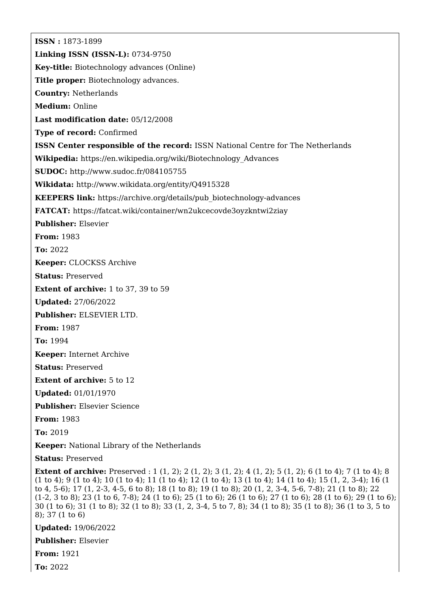**ISSN :** 1873-1899 **Linking ISSN (ISSN-L):** 0734-9750 **Key-title:** Biotechnology advances (Online) **Title proper:** Biotechnology advances. **Country:** Netherlands **Medium:** Online **Last modification date:** 05/12/2008 **Type of record:** Confirmed **ISSN Center responsible of the record:** ISSN National Centre for The Netherlands **Wikipedia:** [https://en.wikipedia.org/wiki/Biotechnology\\_Advances](https://en.wikipedia.org/wiki/Biotechnology_Advances) **SUDOC:** <http://www.sudoc.fr/084105755> **Wikidata:** <http://www.wikidata.org/entity/Q4915328> **KEEPERS link:** [https://archive.org/details/pub\\_biotechnology-advances](https://archive.org/details/pub_biotechnology-advances) **FATCAT:** <https://fatcat.wiki/container/wn2ukcecovde3oyzkntwi2ziay> **Publisher:** Elsevier **From:** 1983 **To:** 2022 **Keeper:** CLOCKSS Archive **Status:** Preserved **Extent of archive:** 1 to 37, 39 to 59 **Updated:** 27/06/2022 **Publisher:** ELSEVIER LTD. **From:** 1987 **To:** 1994 **Keeper:** Internet Archive **Status:** Preserved **Extent of archive:** 5 to 12 **Updated:** 01/01/1970 **Publisher:** Elsevier Science **From:** 1983 **To:** 2019 **Keeper:** National Library of the Netherlands **Status:** Preserved **Extent of archive:** Preserved : 1 (1, 2); 2 (1, 2); 3 (1, 2); 4 (1, 2); 5 (1, 2); 6 (1 to 4); 7 (1 to 4); 8

(1 to 4); 9 (1 to 4); 10 (1 to 4); 11 (1 to 4); 12 (1 to 4); 13 (1 to 4); 14 (1 to 4); 15 (1, 2, 3-4); 16 (1 to 4, 5-6); 17 (1, 2-3, 4-5, 6 to 8); 18 (1 to 8); 19 (1 to 8); 20 (1, 2, 3-4, 5-6, 7-8); 21 (1 to 8); 22 (1-2, 3 to 8); 23 (1 to 6, 7-8); 24 (1 to 6); 25 (1 to 6); 26 (1 to 6); 27 (1 to 6); 28 (1 to 6); 29 (1 to 6); 30 (1 to 6); 31 (1 to 8); 32 (1 to 8); 33 (1, 2, 3-4, 5 to 7, 8); 34 (1 to 8); 35 (1 to 8); 36 (1 to 3, 5 to 8); 37 (1 to 6)

**Updated:** 19/06/2022

**Publisher:** Elsevier

**From:** 1921

**To:** 2022